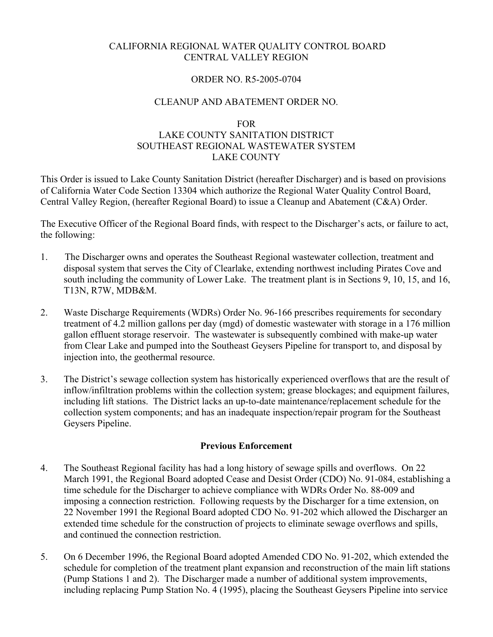## CALIFORNIA REGIONAL WATER QUALITY CONTROL BOARD CENTRAL VALLEY REGION

### ORDER NO. R5-2005-0704

### CLEANUP AND ABATEMENT ORDER NO.

## FOR LAKE COUNTY SANITATION DISTRICT SOUTHEAST REGIONAL WASTEWATER SYSTEM LAKE COUNTY

This Order is issued to Lake County Sanitation District (hereafter Discharger) and is based on provisions of California Water Code Section 13304 which authorize the Regional Water Quality Control Board, Central Valley Region, (hereafter Regional Board) to issue a Cleanup and Abatement (C&A) Order.

The Executive Officer of the Regional Board finds, with respect to the Discharger's acts, or failure to act, the following:

- 1. The Discharger owns and operates the Southeast Regional wastewater collection, treatment and disposal system that serves the City of Clearlake, extending northwest including Pirates Cove and south including the community of Lower Lake. The treatment plant is in Sections 9, 10, 15, and 16, T13N, R7W, MDB&M.
- 2. Waste Discharge Requirements (WDRs) Order No. 96-166 prescribes requirements for secondary treatment of 4.2 million gallons per day (mgd) of domestic wastewater with storage in a 176 million gallon effluent storage reservoir. The wastewater is subsequently combined with make-up water from Clear Lake and pumped into the Southeast Geysers Pipeline for transport to, and disposal by injection into, the geothermal resource.
- 3. The District's sewage collection system has historically experienced overflows that are the result of inflow/infiltration problems within the collection system; grease blockages; and equipment failures, including lift stations. The District lacks an up-to-date maintenance/replacement schedule for the collection system components; and has an inadequate inspection/repair program for the Southeast Geysers Pipeline.

#### **Previous Enforcement**

- 4. The Southeast Regional facility has had a long history of sewage spills and overflows. On 22 March 1991, the Regional Board adopted Cease and Desist Order (CDO) No. 91-084, establishing a time schedule for the Discharger to achieve compliance with WDRs Order No. 88-009 and imposing a connection restriction. Following requests by the Discharger for a time extension, on 22 November 1991 the Regional Board adopted CDO No. 91-202 which allowed the Discharger an extended time schedule for the construction of projects to eliminate sewage overflows and spills, and continued the connection restriction.
- 5. On 6 December 1996, the Regional Board adopted Amended CDO No. 91-202, which extended the schedule for completion of the treatment plant expansion and reconstruction of the main lift stations (Pump Stations 1 and 2). The Discharger made a number of additional system improvements, including replacing Pump Station No. 4 (1995), placing the Southeast Geysers Pipeline into service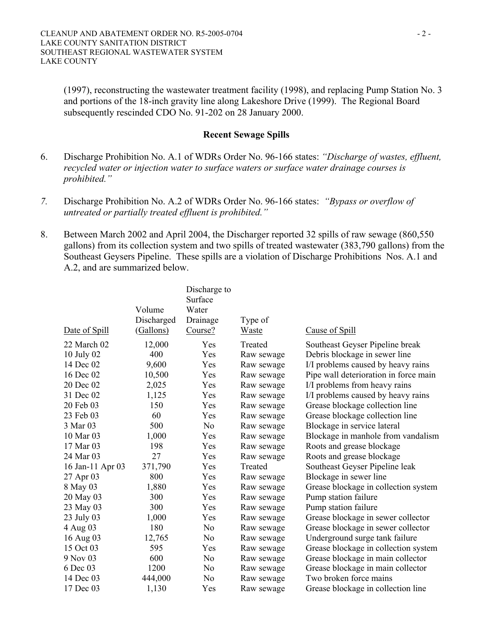(1997), reconstructing the wastewater treatment facility (1998), and replacing Pump Station No. 3 and portions of the 18-inch gravity line along Lakeshore Drive (1999). The Regional Board subsequently rescinded CDO No. 91-202 on 28 January 2000.

### **Recent Sewage Spills**

- 6. Discharge Prohibition No. A.1 of WDRs Order No. 96-166 states: *"Discharge of wastes, effluent, recycled water or injection water to surface waters or surface water drainage courses is prohibited."*
- *7.* Discharge Prohibition No. A.2 of WDRs Order No. 96-166 states: *"Bypass or overflow of untreated or partially treated effluent is prohibited."*
- 8. Between March 2002 and April 2004, the Discharger reported 32 spills of raw sewage (860,550 gallons) from its collection system and two spills of treated wastewater (383,790 gallons) from the Southeast Geysers Pipeline. These spills are a violation of Discharge Prohibitions Nos. A.1 and A.2, and are summarized below.

|                  |            | Discharge to   |            |                                       |
|------------------|------------|----------------|------------|---------------------------------------|
|                  |            | Surface        |            |                                       |
|                  | Volume     | Water          |            |                                       |
|                  | Discharged | Drainage       | Type of    |                                       |
| Date of Spill    | (Gallons)  | Course?        | Waste      | Cause of Spill                        |
| 22 March 02      | 12,000     | Yes            | Treated    | Southeast Geyser Pipeline break       |
| 10 July 02       | 400        | Yes            | Raw sewage | Debris blockage in sewer line         |
| 14 Dec 02        | 9,600      | Yes            | Raw sewage | I/I problems caused by heavy rains    |
| 16 Dec 02        | 10,500     | Yes            | Raw sewage | Pipe wall deterioration in force main |
| 20 Dec 02        | 2,025      | Yes            | Raw sewage | I/I problems from heavy rains         |
| 31 Dec 02        | 1,125      | Yes            | Raw sewage | I/I problems caused by heavy rains    |
| 20 Feb 03        | 150        | Yes            | Raw sewage | Grease blockage collection line       |
| 23 Feb 03        | 60         | Yes            | Raw sewage | Grease blockage collection line       |
| 3 Mar 03         | 500        | N <sub>o</sub> | Raw sewage | Blockage in service lateral           |
| 10 Mar 03        | 1,000      | Yes            | Raw sewage | Blockage in manhole from vandalism    |
| 17 Mar 03        | 198        | Yes            | Raw sewage | Roots and grease blockage             |
| 24 Mar 03        | 27         | Yes            | Raw sewage | Roots and grease blockage             |
| 16 Jan-11 Apr 03 | 371,790    | Yes            | Treated    | Southeast Geyser Pipeline leak        |
| 27 Apr 03        | 800        | Yes            | Raw sewage | Blockage in sewer line                |
| 8 May 03         | 1,880      | Yes            | Raw sewage | Grease blockage in collection system  |
| 20 May 03        | 300        | Yes            | Raw sewage | Pump station failure                  |
| 23 May 03        | 300        | Yes            | Raw sewage | Pump station failure                  |
| 23 July 03       | 1,000      | Yes            | Raw sewage | Grease blockage in sewer collector    |
| 4 Aug 03         | 180        | N <sub>0</sub> | Raw sewage | Grease blockage in sewer collector    |
| 16 Aug 03        | 12,765     | N <sub>o</sub> | Raw sewage | Underground surge tank failure        |
| 15 Oct 03        | 595        | Yes            | Raw sewage | Grease blockage in collection system  |
| 9 Nov 03         | 600        | N <sub>0</sub> | Raw sewage | Grease blockage in main collector     |
| 6 Dec 03         | 1200       | N <sub>o</sub> | Raw sewage | Grease blockage in main collector     |
| 14 Dec 03        | 444,000    | N <sub>0</sub> | Raw sewage | Two broken force mains                |
| 17 Dec 03        | 1,130      | Yes            | Raw sewage | Grease blockage in collection line    |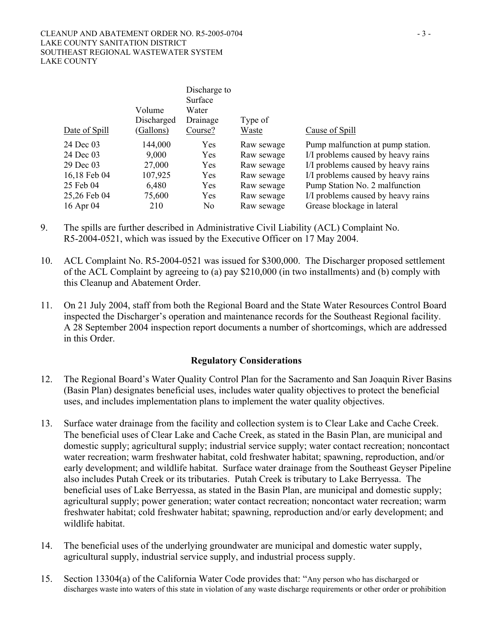|               | Volume<br>Discharged | Discharge to<br>Surface<br>Water<br>Drainage | Type of    |                                    |
|---------------|----------------------|----------------------------------------------|------------|------------------------------------|
| Date of Spill | (Gallons)            | Course?                                      | Waste      | Cause of Spill                     |
| 24 Dec 03     | 144,000              | Yes                                          | Raw sewage | Pump malfunction at pump station.  |
| 24 Dec 03     | 9,000                | Yes                                          | Raw sewage | I/I problems caused by heavy rains |
| 29 Dec 03     | 27,000               | Yes                                          | Raw sewage | I/I problems caused by heavy rains |
| 16,18 Feb 04  | 107,925              | Yes                                          | Raw sewage | I/I problems caused by heavy rains |
| 25 Feb 04     | 6,480                | Yes                                          | Raw sewage | Pump Station No. 2 malfunction     |
| 25,26 Feb 04  | 75,600               | Yes                                          | Raw sewage | I/I problems caused by heavy rains |
| 16 Apr 04     | 210                  | No                                           | Raw sewage | Grease blockage in lateral         |

- 9. The spills are further described in Administrative Civil Liability (ACL) Complaint No. R5-2004-0521, which was issued by the Executive Officer on 17 May 2004.
- 10. ACL Complaint No. R5-2004-0521 was issued for \$300,000. The Discharger proposed settlement of the ACL Complaint by agreeing to (a) pay \$210,000 (in two installments) and (b) comply with this Cleanup and Abatement Order.
- 11. On 21 July 2004, staff from both the Regional Board and the State Water Resources Control Board inspected the Discharger's operation and maintenance records for the Southeast Regional facility. A 28 September 2004 inspection report documents a number of shortcomings, which are addressed in this Order.

# **Regulatory Considerations**

- 12. The Regional Board's Water Quality Control Plan for the Sacramento and San Joaquin River Basins (Basin Plan) designates beneficial uses, includes water quality objectives to protect the beneficial uses, and includes implementation plans to implement the water quality objectives.
- 13. Surface water drainage from the facility and collection system is to Clear Lake and Cache Creek. The beneficial uses of Clear Lake and Cache Creek, as stated in the Basin Plan, are municipal and domestic supply; agricultural supply; industrial service supply; water contact recreation; noncontact water recreation; warm freshwater habitat, cold freshwater habitat; spawning, reproduction, and/or early development; and wildlife habitat. Surface water drainage from the Southeast Geyser Pipeline also includes Putah Creek or its tributaries. Putah Creek is tributary to Lake Berryessa. The beneficial uses of Lake Berryessa, as stated in the Basin Plan, are municipal and domestic supply; agricultural supply; power generation; water contact recreation; noncontact water recreation; warm freshwater habitat; cold freshwater habitat; spawning, reproduction and/or early development; and wildlife habitat.
- 14. The beneficial uses of the underlying groundwater are municipal and domestic water supply, agricultural supply, industrial service supply, and industrial process supply.
- 15. Section 13304(a) of the California Water Code provides that: "Any person who has discharged or discharges waste into waters of this state in violation of any waste discharge requirements or other order or prohibition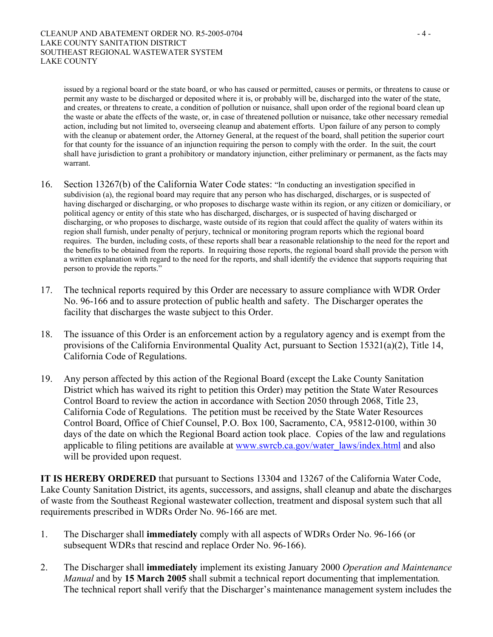issued by a regional board or the state board, or who has caused or permitted, causes or permits, or threatens to cause or permit any waste to be discharged or deposited where it is, or probably will be, discharged into the water of the state, and creates, or threatens to create, a condition of pollution or nuisance, shall upon order of the regional board clean up the waste or abate the effects of the waste, or, in case of threatened pollution or nuisance, take other necessary remedial action, including but not limited to, overseeing cleanup and abatement efforts. Upon failure of any person to comply with the cleanup or abatement order, the Attorney General, at the request of the board, shall petition the superior court for that county for the issuance of an injunction requiring the person to comply with the order. In the suit, the court shall have jurisdiction to grant a prohibitory or mandatory injunction, either preliminary or permanent, as the facts may warrant.

- 16. Section 13267(b) of the California Water Code states: "In conducting an investigation specified in subdivision (a), the regional board may require that any person who has discharged, discharges, or is suspected of having discharged or discharging, or who proposes to discharge waste within its region, or any citizen or domiciliary, or political agency or entity of this state who has discharged, discharges, or is suspected of having discharged or discharging, or who proposes to discharge, waste outside of its region that could affect the quality of waters within its region shall furnish, under penalty of perjury, technical or monitoring program reports which the regional board requires. The burden, including costs, of these reports shall bear a reasonable relationship to the need for the report and the benefits to be obtained from the reports. In requiring those reports, the regional board shall provide the person with a written explanation with regard to the need for the reports, and shall identify the evidence that supports requiring that person to provide the reports."
- 17. The technical reports required by this Order are necessary to assure compliance with WDR Order No. 96-166 and to assure protection of public health and safety. The Discharger operates the facility that discharges the waste subject to this Order.
- 18. The issuance of this Order is an enforcement action by a regulatory agency and is exempt from the provisions of the California Environmental Quality Act, pursuant to Section 15321(a)(2), Title 14, California Code of Regulations.
- 19. Any person affected by this action of the Regional Board (except the Lake County Sanitation District which has waived its right to petition this Order) may petition the State Water Resources Control Board to review the action in accordance with Section 2050 through 2068, Title 23, California Code of Regulations. The petition must be received by the State Water Resources Control Board, Office of Chief Counsel, P.O. Box 100, Sacramento, CA, 95812-0100, within 30 days of the date on which the Regional Board action took place. Copies of the law and regulations applicable to filing petitions are available at www.swrcb.ca.gov/water\_laws/index.html and also will be provided upon request.

**IT IS HEREBY ORDERED** that pursuant to Sections 13304 and 13267 of the California Water Code, Lake County Sanitation District, its agents, successors, and assigns, shall cleanup and abate the discharges of waste from the Southeast Regional wastewater collection, treatment and disposal system such that all requirements prescribed in WDRs Order No. 96-166 are met.

- 1. The Discharger shall **immediately** comply with all aspects of WDRs Order No. 96-166 (or subsequent WDRs that rescind and replace Order No. 96-166).
- 2. The Discharger shall **immediately** implement its existing January 2000 *Operation and Maintenance Manual* and by **15 March 2005** shall submit a technical report documenting that implementation*.*  The technical report shall verify that the Discharger's maintenance management system includes the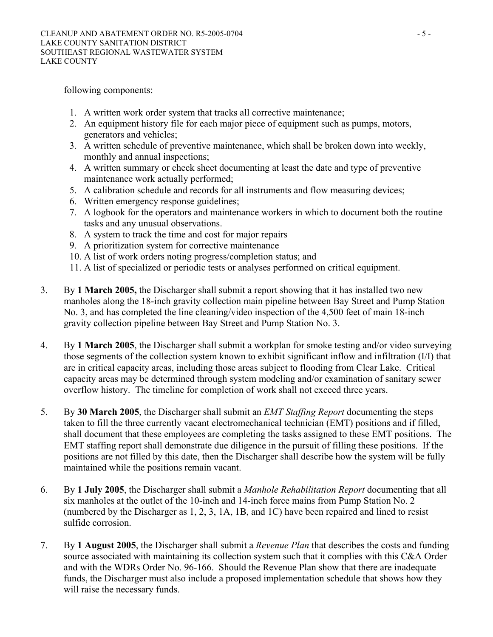following components:

- 1. A written work order system that tracks all corrective maintenance;
- 2. An equipment history file for each major piece of equipment such as pumps, motors, generators and vehicles;
- 3. A written schedule of preventive maintenance, which shall be broken down into weekly, monthly and annual inspections;
- 4. A written summary or check sheet documenting at least the date and type of preventive maintenance work actually performed;
- 5. A calibration schedule and records for all instruments and flow measuring devices;
- 6. Written emergency response guidelines;
- 7. A logbook for the operators and maintenance workers in which to document both the routine tasks and any unusual observations.
- 8. A system to track the time and cost for major repairs
- 9. A prioritization system for corrective maintenance
- 10. A list of work orders noting progress/completion status; and
- 11. A list of specialized or periodic tests or analyses performed on critical equipment.
- 3. By **1 March 2005,** the Discharger shall submit a report showing that it has installed two new manholes along the 18-inch gravity collection main pipeline between Bay Street and Pump Station No. 3, and has completed the line cleaning/video inspection of the 4,500 feet of main 18-inch gravity collection pipeline between Bay Street and Pump Station No. 3.
- 4. By **1 March 2005**, the Discharger shall submit a workplan for smoke testing and/or video surveying those segments of the collection system known to exhibit significant inflow and infiltration (I/I) that are in critical capacity areas, including those areas subject to flooding from Clear Lake. Critical capacity areas may be determined through system modeling and/or examination of sanitary sewer overflow history. The timeline for completion of work shall not exceed three years.
- 5. By **30 March 2005**, the Discharger shall submit an *EMT Staffing Report* documenting the steps taken to fill the three currently vacant electromechanical technician (EMT) positions and if filled, shall document that these employees are completing the tasks assigned to these EMT positions. The EMT staffing report shall demonstrate due diligence in the pursuit of filling these positions. If the positions are not filled by this date, then the Discharger shall describe how the system will be fully maintained while the positions remain vacant.
- 6. By **1 July 2005**, the Discharger shall submit a *Manhole Rehabilitation Report* documenting that all six manholes at the outlet of the 10-inch and 14-inch force mains from Pump Station No. 2 (numbered by the Discharger as 1, 2, 3, 1A, 1B, and 1C) have been repaired and lined to resist sulfide corrosion.
- 7. By **1 August 2005**, the Discharger shall submit a *Revenue Plan* that describes the costs and funding source associated with maintaining its collection system such that it complies with this C&A Order and with the WDRs Order No. 96-166. Should the Revenue Plan show that there are inadequate funds, the Discharger must also include a proposed implementation schedule that shows how they will raise the necessary funds.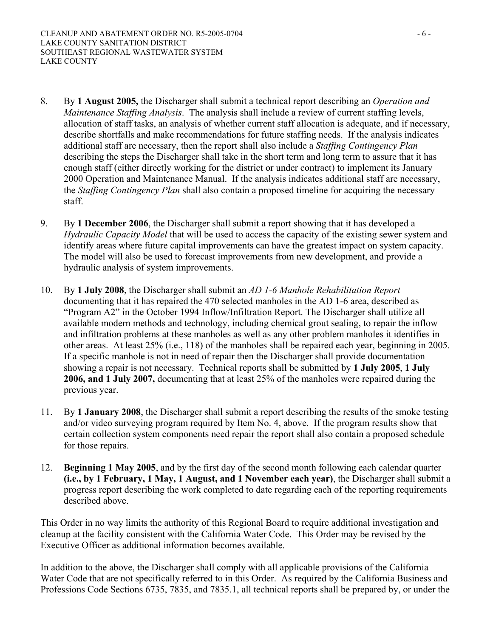- 8. By **1 August 2005,** the Discharger shall submit a technical report describing an *Operation and Maintenance Staffing Analysis*. The analysis shall include a review of current staffing levels, allocation of staff tasks, an analysis of whether current staff allocation is adequate, and if necessary, describe shortfalls and make recommendations for future staffing needs. If the analysis indicates additional staff are necessary, then the report shall also include a *Staffing Contingency Plan*  describing the steps the Discharger shall take in the short term and long term to assure that it has enough staff (either directly working for the district or under contract) to implement its January 2000 Operation and Maintenance Manual. If the analysis indicates additional staff are necessary, the *Staffing Contingency Plan* shall also contain a proposed timeline for acquiring the necessary staff.
- 9. By **1 December 2006**, the Discharger shall submit a report showing that it has developed a *Hydraulic Capacity Model* that will be used to access the capacity of the existing sewer system and identify areas where future capital improvements can have the greatest impact on system capacity. The model will also be used to forecast improvements from new development, and provide a hydraulic analysis of system improvements.
- 10. By **1 July 2008**, the Discharger shall submit an *AD 1-6 Manhole Rehabilitation Report* documenting that it has repaired the 470 selected manholes in the AD 1-6 area, described as "Program A2" in the October 1994 Inflow/Infiltration Report. The Discharger shall utilize all available modern methods and technology, including chemical grout sealing, to repair the inflow and infiltration problems at these manholes as well as any other problem manholes it identifies in other areas. At least 25% (i.e., 118) of the manholes shall be repaired each year, beginning in 2005. If a specific manhole is not in need of repair then the Discharger shall provide documentation showing a repair is not necessary. Technical reports shall be submitted by **1 July 2005**, **1 July 2006, and 1 July 2007,** documenting that at least 25% of the manholes were repaired during the previous year.
- 11. By **1 January 2008**, the Discharger shall submit a report describing the results of the smoke testing and/or video surveying program required by Item No. 4, above. If the program results show that certain collection system components need repair the report shall also contain a proposed schedule for those repairs.
- 12. **Beginning 1 May 2005**, and by the first day of the second month following each calendar quarter **(i.e., by 1 February, 1 May, 1 August, and 1 November each year)**, the Discharger shall submit a progress report describing the work completed to date regarding each of the reporting requirements described above.

This Order in no way limits the authority of this Regional Board to require additional investigation and cleanup at the facility consistent with the California Water Code. This Order may be revised by the Executive Officer as additional information becomes available.

In addition to the above, the Discharger shall comply with all applicable provisions of the California Water Code that are not specifically referred to in this Order. As required by the California Business and Professions Code Sections 6735, 7835, and 7835.1, all technical reports shall be prepared by, or under the